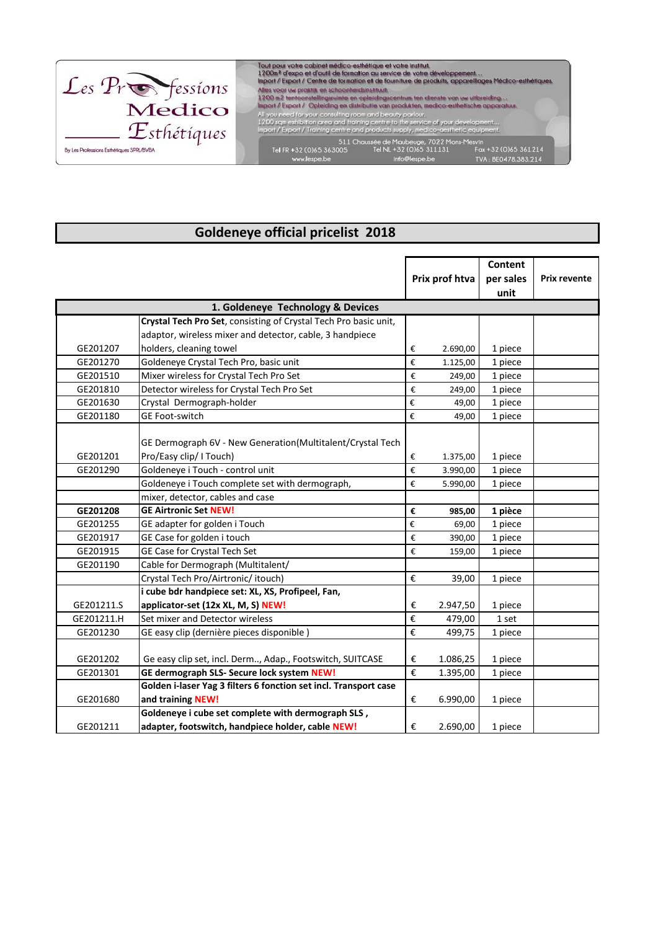

## **Goldeneye official pricelist 2018**

|                                   |                                                                  | Prix prof htva          |          | <b>Content</b> |                     |  |  |  |  |
|-----------------------------------|------------------------------------------------------------------|-------------------------|----------|----------------|---------------------|--|--|--|--|
|                                   |                                                                  |                         |          | per sales      | <b>Prix revente</b> |  |  |  |  |
|                                   |                                                                  |                         |          | unit           |                     |  |  |  |  |
| 1. Goldeneye Technology & Devices |                                                                  |                         |          |                |                     |  |  |  |  |
|                                   | Crystal Tech Pro Set, consisting of Crystal Tech Pro basic unit, |                         |          |                |                     |  |  |  |  |
|                                   | adaptor, wireless mixer and detector, cable, 3 handpiece         |                         |          |                |                     |  |  |  |  |
| GE201207                          | holders, cleaning towel                                          | €                       | 2.690,00 | 1 piece        |                     |  |  |  |  |
| GE201270                          | Goldeneye Crystal Tech Pro, basic unit                           | $\boldsymbol{\epsilon}$ | 1.125,00 | 1 piece        |                     |  |  |  |  |
| GE201510                          | Mixer wireless for Crystal Tech Pro Set                          | €                       | 249,00   | 1 piece        |                     |  |  |  |  |
| GE201810                          | Detector wireless for Crystal Tech Pro Set                       | €                       | 249,00   | 1 piece        |                     |  |  |  |  |
| GE201630                          | Crystal Dermograph-holder                                        | €                       | 49,00    | 1 piece        |                     |  |  |  |  |
| GE201180                          | GE Foot-switch                                                   | €                       | 49,00    | 1 piece        |                     |  |  |  |  |
|                                   |                                                                  |                         |          |                |                     |  |  |  |  |
|                                   | GE Dermograph 6V - New Generation(Multitalent/Crystal Tech       |                         |          |                |                     |  |  |  |  |
| GE201201                          | Pro/Easy clip/ I Touch)                                          | €                       | 1.375,00 | 1 piece        |                     |  |  |  |  |
| GE201290                          | Goldeneye i Touch - control unit                                 | $\boldsymbol{\epsilon}$ | 3.990,00 | 1 piece        |                     |  |  |  |  |
|                                   | Goldeneye i Touch complete set with dermograph,                  | €                       | 5.990,00 | 1 piece        |                     |  |  |  |  |
|                                   | mixer, detector, cables and case                                 |                         |          |                |                     |  |  |  |  |
| GE201208                          | <b>GE Airtronic Set NEW!</b>                                     | €                       | 985,00   | 1 pièce        |                     |  |  |  |  |
| GE201255                          | GE adapter for golden i Touch                                    | €                       | 69,00    | 1 piece        |                     |  |  |  |  |
| GE201917                          | GE Case for golden i touch                                       | €                       | 390,00   | 1 piece        |                     |  |  |  |  |
| GE201915                          | GE Case for Crystal Tech Set                                     | €                       | 159,00   | 1 piece        |                     |  |  |  |  |
| GE201190                          | Cable for Dermograph (Multitalent/                               |                         |          |                |                     |  |  |  |  |
|                                   | Crystal Tech Pro/Airtronic/ itouch)                              | $\boldsymbol{\epsilon}$ | 39,00    | 1 piece        |                     |  |  |  |  |
|                                   | i cube bdr handpiece set: XL, XS, Profipeel, Fan,                |                         |          |                |                     |  |  |  |  |
| GE201211.S                        | applicator-set (12x XL, M, S) NEW!                               | €                       | 2.947,50 | 1 piece        |                     |  |  |  |  |
| GE201211.H                        | Set mixer and Detector wireless                                  | $\boldsymbol{\epsilon}$ | 479,00   | 1 set          |                     |  |  |  |  |
| GE201230                          | GE easy clip (dernière pieces disponible)                        | $\boldsymbol{\epsilon}$ | 499,75   | 1 piece        |                     |  |  |  |  |
|                                   |                                                                  |                         |          |                |                     |  |  |  |  |
| GE201202                          | Ge easy clip set, incl. Derm, Adap., Footswitch, SUITCASE        | €                       | 1.086,25 | 1 piece        |                     |  |  |  |  |
| GE201301                          | GE dermograph SLS- Secure lock system NEW!                       | €                       | 1.395,00 | 1 piece        |                     |  |  |  |  |
|                                   | Golden i-laser Yag 3 filters 6 fonction set incl. Transport case |                         |          |                |                     |  |  |  |  |
| GE201680                          | and training NEW!                                                | €                       | 6.990,00 | 1 piece        |                     |  |  |  |  |
|                                   | Goldeneye i cube set complete with dermograph SLS,               |                         |          |                |                     |  |  |  |  |
| GE201211                          | adapter, footswitch, handpiece holder, cable NEW!                | €                       | 2.690,00 | 1 piece        |                     |  |  |  |  |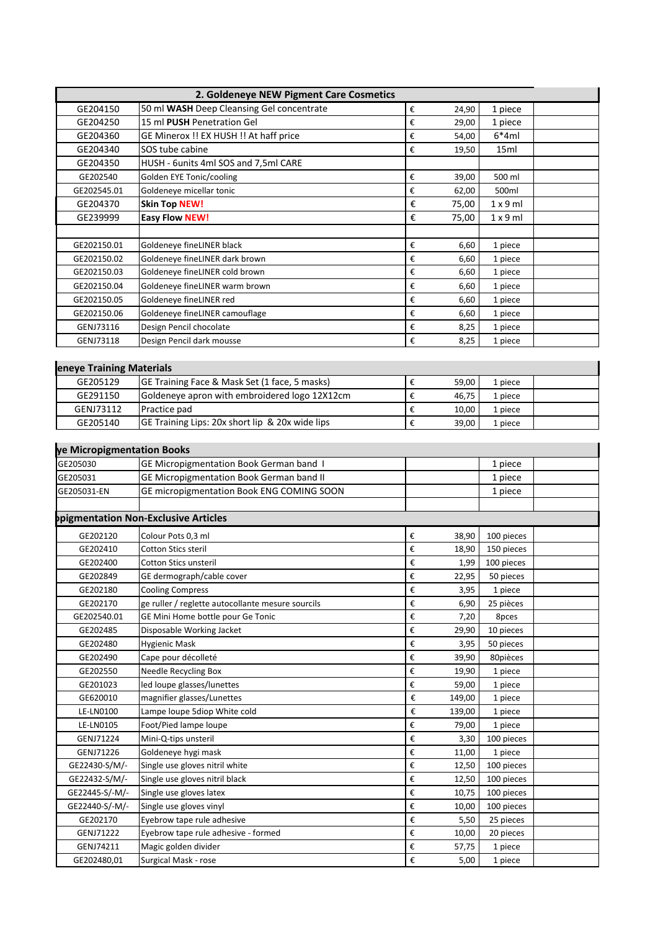|                                      | 2. Goldeneye NEW Pigment Care Cosmetics                       |                         |        |            |  |
|--------------------------------------|---------------------------------------------------------------|-------------------------|--------|------------|--|
| GE204150                             | 50 ml WASH Deep Cleansing Gel concentrate                     | $\boldsymbol{\epsilon}$ | 24,90  | 1 piece    |  |
| GE204250                             | 15 ml PUSH Penetration Gel                                    | $\pmb{\epsilon}$        | 29,00  | 1 piece    |  |
| GE204360                             | GE Minerox !! EX HUSH !! At haff price                        | €                       | 54,00  | $6*4ml$    |  |
| GE204340                             | SOS tube cabine                                               | €                       | 19,50  | 15ml       |  |
| GE204350                             | HUSH - 6units 4ml SOS and 7,5ml CARE                          |                         |        |            |  |
| GE202540                             | Golden EYE Tonic/cooling                                      | €                       | 39,00  | 500 ml     |  |
| GE202545.01                          | Goldeneye micellar tonic                                      | €                       | 62,00  | 500ml      |  |
| GE204370                             | <b>Skin Top NEW!</b>                                          | €                       | 75,00  | 1x9ml      |  |
| GE239999                             | <b>Easy Flow NEW!</b>                                         | €                       | 75,00  | 1x9ml      |  |
|                                      |                                                               |                         |        |            |  |
| GE202150.01                          | Goldeneye fineLINER black                                     | €                       | 6,60   | 1 piece    |  |
| GE202150.02                          | Goldeneye fineLINER dark brown                                | €                       | 6,60   | 1 piece    |  |
| GE202150.03                          | Goldeneye fineLINER cold brown                                | €                       | 6,60   | 1 piece    |  |
| GE202150.04                          | Goldeneye fineLINER warm brown                                | €                       | 6,60   | 1 piece    |  |
| GE202150.05                          | Goldeneye fineLINER red                                       | €                       | 6,60   | 1 piece    |  |
| GE202150.06                          | Goldeneye fineLINER camouflage                                | €                       | 6,60   | 1 piece    |  |
| GENJ73116                            | Design Pencil chocolate                                       | €                       | 8,25   | 1 piece    |  |
| GENJ73118                            | Design Pencil dark mousse                                     | $\boldsymbol{\epsilon}$ | 8,25   | 1 piece    |  |
|                                      |                                                               |                         |        |            |  |
|                                      |                                                               |                         |        |            |  |
| eneye Training Materials<br>GE205129 |                                                               |                         |        |            |  |
| GE291150                             | GE Training Face & Mask Set (1 face, 5 masks)                 | $\boldsymbol{\epsilon}$ | 59,00  | 1 piece    |  |
|                                      | Goldeneye apron with embroidered logo 12X12cm<br>Practice pad | €                       | 46,75  | 1 piece    |  |
| GENJ73112                            |                                                               | €                       | 10,00  | 1 piece    |  |
| GE205140                             | GE Training Lips: 20x short lip & 20x wide lips               | €                       | 39,00  | 1 piece    |  |
|                                      |                                                               |                         |        |            |  |
| ye Micropigmentation Books           |                                                               |                         |        |            |  |
| GE205030                             | GE Micropigmentation Book German band I                       |                         |        | 1 piece    |  |
| GE205031                             | GE Micropigmentation Book German band II                      |                         |        | 1 piece    |  |
| GE205031-EN                          | GE micropigmentation Book ENG COMING SOON                     |                         |        | 1 piece    |  |
|                                      | opigmentation Non-Exclusive Articles                          |                         |        |            |  |
|                                      |                                                               |                         |        |            |  |
| GE202120                             | Colour Pots 0,3 ml                                            | €                       | 38,90  | 100 pieces |  |
| GE202410                             | Cotton Stics steril                                           | $\boldsymbol{\epsilon}$ | 18,90  | 150 pieces |  |
| GE202400                             | Cotton Stics unsteril                                         | €                       | 1,99   | 100 pieces |  |
| GE202849                             | GE dermograph/cable cover                                     | $\boldsymbol{\epsilon}$ | 22,95  | 50 pieces  |  |
| GE202180                             | <b>Cooling Compress</b>                                       | $\boldsymbol{\epsilon}$ | 3,95   | 1 piece    |  |
| GE202170                             | ge ruller / reglette autocollante mesure sourcils             | €                       | 6,90   | 25 pièces  |  |
| GE202540.01                          | GE Mini Home bottle pour Ge Tonic                             | €                       | 7,20   | 8pces      |  |
| GE202485                             | Disposable Working Jacket                                     | €                       | 29,90  | 10 pieces  |  |
| GE202480                             | <b>Hygienic Mask</b>                                          | $\boldsymbol{\epsilon}$ | 3,95   | 50 pieces  |  |
| GE202490                             | Cape pour décolleté                                           | $\boldsymbol{\epsilon}$ | 39,90  | 80pièces   |  |
| GE202550                             | <b>Needle Recycling Box</b>                                   | $\pmb{\epsilon}$        | 19,90  | 1 piece    |  |
| GE201023                             | led loupe glasses/lunettes                                    | $\boldsymbol{\epsilon}$ | 59,00  | 1 piece    |  |
| GE620010                             | magnifier glasses/Lunettes                                    | €                       | 149,00 | 1 piece    |  |
| <b>LE-LN0100</b>                     | Lampe loupe 5diop White cold                                  | €                       | 139,00 | 1 piece    |  |
| LE-LN0105                            | Foot/Pied lampe loupe                                         | $\boldsymbol{\epsilon}$ | 79,00  | 1 piece    |  |
| GENJ71224                            | Mini-Q-tips unsteril                                          | $\boldsymbol{\epsilon}$ | 3,30   | 100 pieces |  |
| GENJ71226                            | Goldeneye hygi mask                                           | $\pmb{\epsilon}$        | 11,00  | 1 piece    |  |
| GE22430-S/M/-                        | Single use gloves nitril white                                | $\boldsymbol{\epsilon}$ | 12,50  | 100 pieces |  |
| GE22432-S/M/-                        | Single use gloves nitril black                                | $\boldsymbol{\epsilon}$ | 12,50  | 100 pieces |  |
| GE22445-S/-M/-                       | Single use gloves latex                                       | €                       | 10,75  | 100 pieces |  |
| GE22440-S/-M/-                       | Single use gloves vinyl                                       | €                       | 10,00  | 100 pieces |  |
| GE202170                             | Eyebrow tape rule adhesive                                    | €                       | 5,50   | 25 pieces  |  |
| GENJ71222                            | Eyebrow tape rule adhesive - formed                           | €                       | 10,00  | 20 pieces  |  |
| GENJ74211                            | Magic golden divider                                          | €                       | 57,75  | 1 piece    |  |
| GE202480,01                          | Surgical Mask - rose                                          | €                       | 5,00   | 1 piece    |  |
|                                      |                                                               |                         |        |            |  |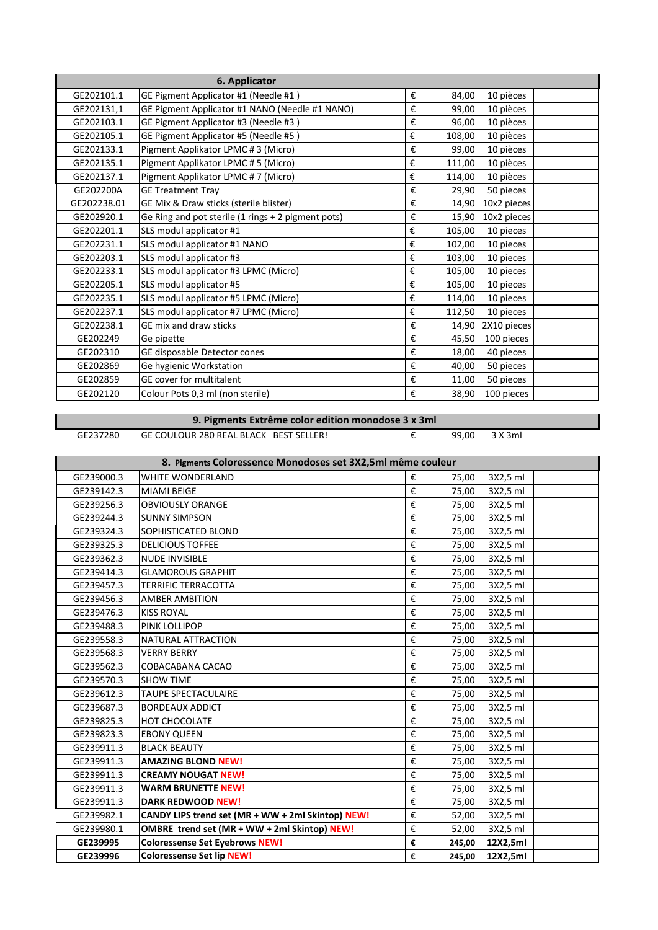| 6. Applicator |                                                    |   |        |             |  |
|---------------|----------------------------------------------------|---|--------|-------------|--|
| GE202101.1    | GE Pigment Applicator #1 (Needle #1)               | € | 84,00  | 10 pièces   |  |
| GE202131,1    | GE Pigment Applicator #1 NANO (Needle #1 NANO)     | € | 99,00  | 10 pièces   |  |
| GE202103.1    | GE Pigment Applicator #3 (Needle #3)               | € | 96,00  | 10 pièces   |  |
| GE202105.1    | GE Pigment Applicator #5 (Needle #5)               | € | 108,00 | 10 pièces   |  |
| GE202133.1    | Pigment Applikator LPMC #3 (Micro)                 | € | 99,00  | 10 pièces   |  |
| GE202135.1    | Pigment Applikator LPMC #5 (Micro)                 | € | 111,00 | 10 pièces   |  |
| GE202137.1    | Pigment Applikator LPMC #7 (Micro)                 | € | 114,00 | 10 pièces   |  |
| GE202200A     | <b>GE Treatment Tray</b>                           | € | 29,90  | 50 pieces   |  |
| GE202238.01   | GE Mix & Draw sticks (sterile blister)             | € | 14,90  | 10x2 pieces |  |
| GE202920.1    | Ge Ring and pot sterile (1 rings + 2 pigment pots) | € | 15,90  | 10x2 pieces |  |
| GE202201.1    | SLS modul applicator #1                            | € | 105,00 | 10 pieces   |  |
| GE202231.1    | SLS modul applicator #1 NANO                       | € | 102,00 | 10 pieces   |  |
| GE202203.1    | SLS modul applicator #3                            | € | 103,00 | 10 pieces   |  |
| GE202233.1    | SLS modul applicator #3 LPMC (Micro)               | € | 105,00 | 10 pieces   |  |
| GE202205.1    | SLS modul applicator #5                            | € | 105,00 | 10 pieces   |  |
| GE202235.1    | SLS modul applicator #5 LPMC (Micro)               | € | 114,00 | 10 pieces   |  |
| GE202237.1    | SLS modul applicator #7 LPMC (Micro)               | € | 112,50 | 10 pieces   |  |
| GE202238.1    | GE mix and draw sticks                             | € | 14,90  | 2X10 pieces |  |
| GE202249      | Ge pipette                                         | € | 45,50  | 100 pieces  |  |
| GE202310      | GE disposable Detector cones                       | € | 18,00  | 40 pieces   |  |
| GE202869      | Ge hygienic Workstation                            | € | 40,00  | 50 pieces   |  |
| GE202859      | GE cover for multitalent                           | € | 11,00  | 50 pieces   |  |
| GE202120      | Colour Pots 0,3 ml (non sterile)                   | € | 38,90  | 100 pieces  |  |

 **9. Pigments Extrême color edition monodose 3 x 3ml**

GE237280 GE COULOUR 280 REAL BLACK BEST SELLER! € 99,00 3 X 3ml

п

## **8. Pigments Coloressence Monodoses set 3X2,5ml même couleur**

| 0. Fightents Color essence informations set JAZ,JHII meme couleur |                                                   |   |        |          |  |  |
|-------------------------------------------------------------------|---------------------------------------------------|---|--------|----------|--|--|
| GE239000.3                                                        | <b>WHITE WONDERLAND</b>                           | € | 75,00  | 3X2,5 ml |  |  |
| GE239142.3                                                        | <b>MIAMI BEIGE</b>                                | € | 75,00  | 3X2,5 ml |  |  |
| GE239256.3                                                        | <b>OBVIOUSLY ORANGE</b>                           | € | 75,00  | 3X2,5 ml |  |  |
| GE239244.3                                                        | <b>SUNNY SIMPSON</b>                              | € | 75,00  | 3X2,5 ml |  |  |
| GE239324.3                                                        | SOPHISTICATED BLOND                               | € | 75,00  | 3X2,5 ml |  |  |
| GE239325.3                                                        | <b>DELICIOUS TOFFEE</b>                           | € | 75,00  | 3X2,5 ml |  |  |
| GE239362.3                                                        | <b>NUDE INVISIBLE</b>                             | € | 75,00  | 3X2,5 ml |  |  |
| GE239414.3                                                        | <b>GLAMOROUS GRAPHIT</b>                          | € | 75,00  | 3X2,5 ml |  |  |
| GE239457.3                                                        | <b>TERRIFIC TERRACOTTA</b>                        | € | 75,00  | 3X2,5 ml |  |  |
| GE239456.3                                                        | <b>AMBER AMBITION</b>                             | € | 75,00  | 3X2,5 ml |  |  |
| GE239476.3                                                        | <b>KISS ROYAL</b>                                 | € | 75,00  | 3X2,5 ml |  |  |
| GE239488.3                                                        | PINK LOLLIPOP                                     | € | 75,00  | 3X2,5 ml |  |  |
| GE239558.3                                                        | NATURAL ATTRACTION                                | € | 75,00  | 3X2,5 ml |  |  |
| GE239568.3                                                        | <b>VERRY BERRY</b>                                | € | 75,00  | 3X2,5 ml |  |  |
| GE239562.3                                                        | COBACABANA CACAO                                  | € | 75,00  | 3X2,5 ml |  |  |
| GE239570.3                                                        | <b>SHOW TIME</b>                                  | € | 75,00  | 3X2,5 ml |  |  |
| GE239612.3                                                        | TAUPE SPECTACULAIRE                               | € | 75,00  | 3X2,5 ml |  |  |
| GE239687.3                                                        | <b>BORDEAUX ADDICT</b>                            | € | 75,00  | 3X2,5 ml |  |  |
| GE239825.3                                                        | HOT CHOCOLATE                                     | € | 75,00  | 3X2,5 ml |  |  |
| GE239823.3                                                        | <b>EBONY QUEEN</b>                                | € | 75,00  | 3X2,5 ml |  |  |
| GE239911.3                                                        | <b>BLACK BEAUTY</b>                               | € | 75,00  | 3X2,5 ml |  |  |
| GE239911.3                                                        | <b>AMAZING BLOND NEW!</b>                         | € | 75,00  | 3X2,5 ml |  |  |
| GE239911.3                                                        | <b>CREAMY NOUGAT NEW!</b>                         | € | 75,00  | 3X2,5 ml |  |  |
| GE239911.3                                                        | <b>WARM BRUNETTE NEW!</b>                         | € | 75,00  | 3X2,5 ml |  |  |
| GE239911.3                                                        | <b>DARK REDWOOD NEW!</b>                          | € | 75,00  | 3X2,5 ml |  |  |
| GE239982.1                                                        | CANDY LIPS trend set (MR + WW + 2ml Skintop) NEW! | € | 52,00  | 3X2,5 ml |  |  |
| GE239980.1                                                        | OMBRE trend set (MR + WW + 2ml Skintop) NEW!      | € | 52,00  | 3X2,5 ml |  |  |
| GE239995                                                          | <b>Coloressense Set Eyebrows NEW!</b>             | € | 245,00 | 12X2,5ml |  |  |
| GE239996                                                          | <b>Coloressense Set lip NEW!</b>                  | € | 245,00 | 12X2,5ml |  |  |